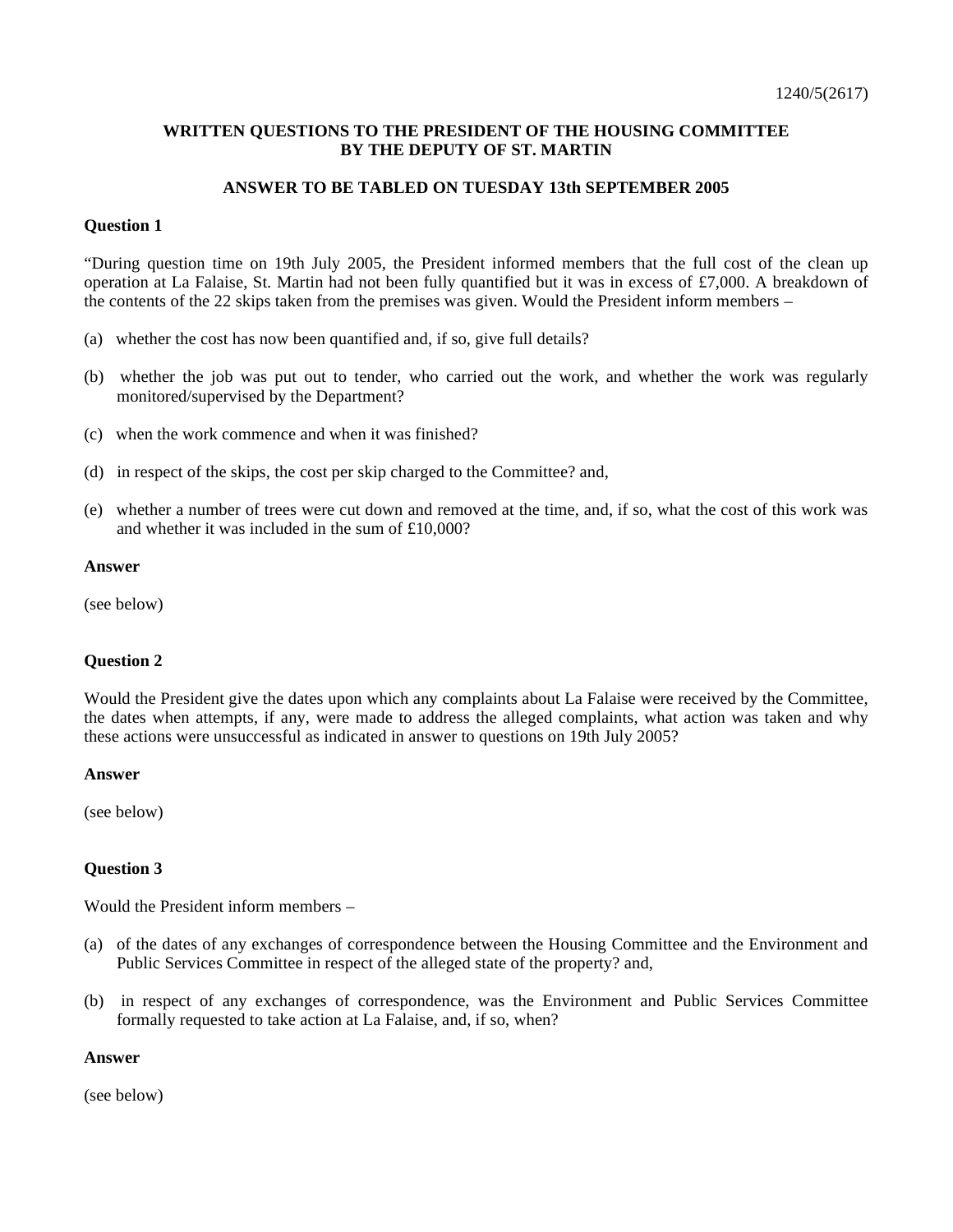# **WRITTEN QUESTIONS TO THE PRESIDENT OF THE HOUSING COMMITTEE BY THE DEPUTY OF ST. MARTIN**

# **ANSWER TO BE TABLED ON TUESDAY 13th SEPTEMBER 2005**

### **Question 1**

"During question time on 19th July 2005, the President informed members that the full cost of the clean up operation at La Falaise, St. Martin had not been fully quantified but it was in excess of £7,000. A breakdown of the contents of the 22 skips taken from the premises was given. Would the President inform members –

- (a) whether the cost has now been quantified and, if so, give full details?
- (b) whether the job was put out to tender, who carried out the work, and whether the work was regularly monitored/supervised by the Department?
- (c) when the work commence and when it was finished?
- (d) in respect of the skips, the cost per skip charged to the Committee? and,
- (e) whether a number of trees were cut down and removed at the time, and, if so, what the cost of this work was and whether it was included in the sum of £10,000?

#### **Answer**

(see below)

# **Question 2**

Would the President give the dates upon which any complaints about La Falaise were received by the Committee, the dates when attempts, if any, were made to address the alleged complaints, what action was taken and why these actions were unsuccessful as indicated in answer to questions on 19th July 2005?

### **Answer**

(see below)

# **Question 3**

Would the President inform members –

- (a) of the dates of any exchanges of correspondence between the Housing Committee and the Environment and Public Services Committee in respect of the alleged state of the property? and,
- (b) in respect of any exchanges of correspondence, was the Environment and Public Services Committee formally requested to take action at La Falaise, and, if so, when?

### **Answer**

(see below)